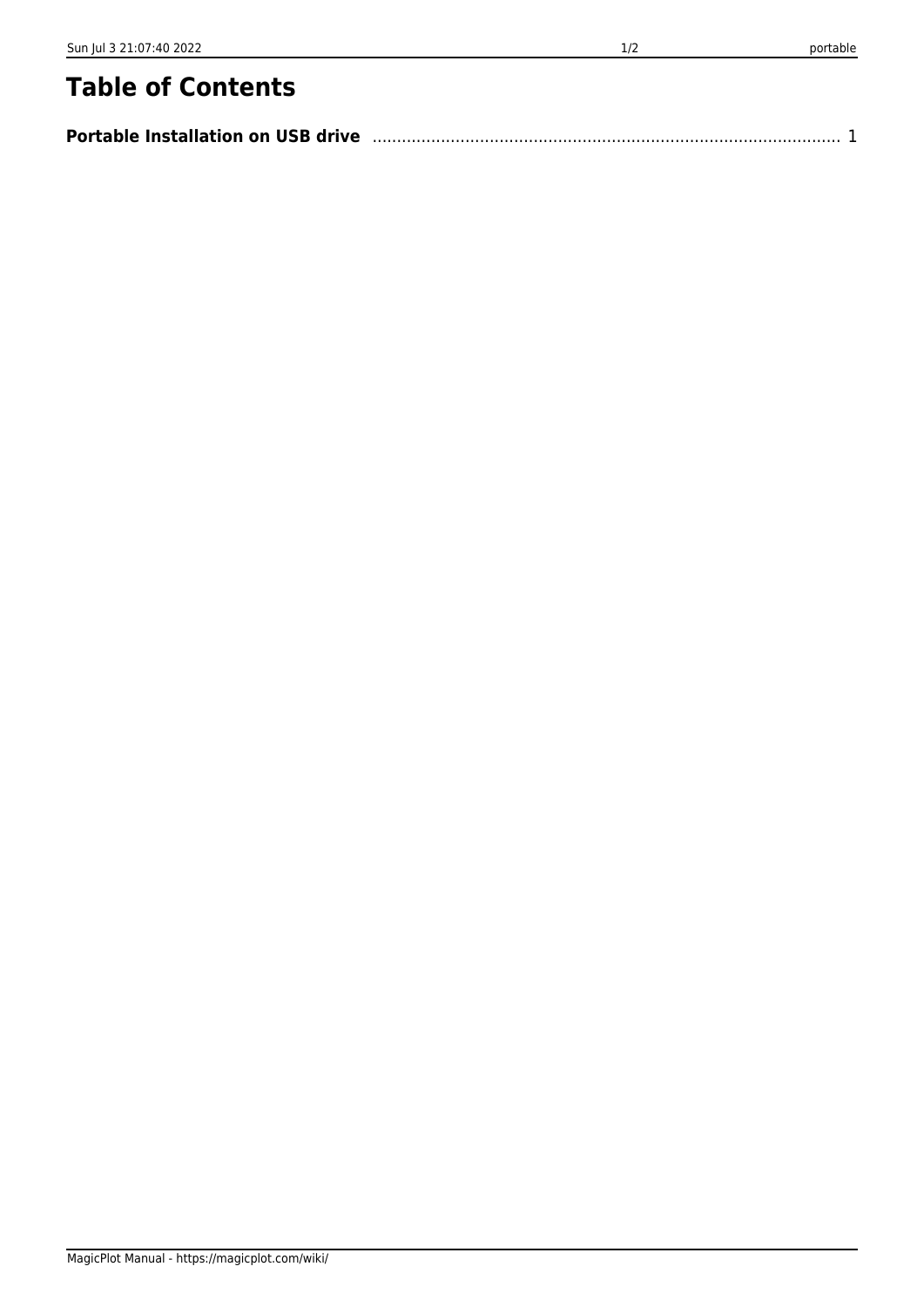## **Table of Contents**

| <b>Portable Installation on USB drive</b> |  |  |
|-------------------------------------------|--|--|
|-------------------------------------------|--|--|